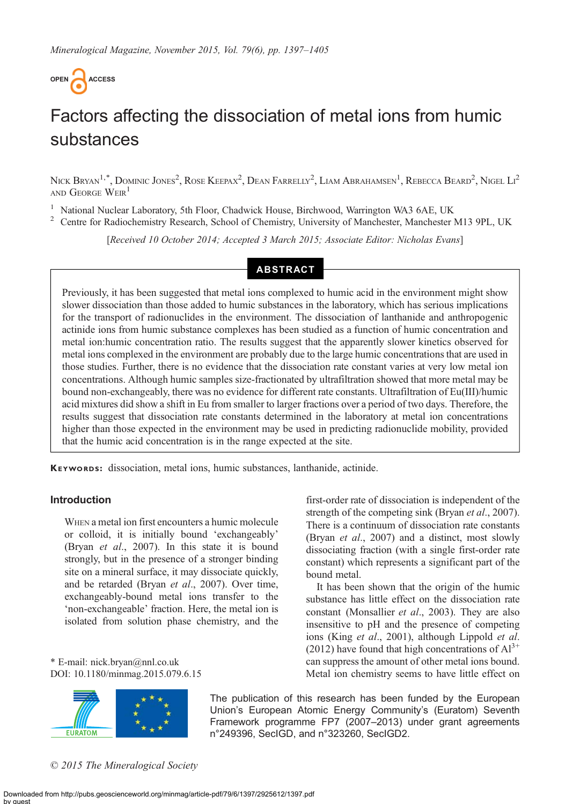

# Factors affecting the dissociation of metal ions from humic substances

Nick Bryan<sup>1,\*</sup>, Dominic Jones<sup>2</sup>, Rose Keepax<sup>2</sup>, Dean Farrelly<sup>2</sup>, Liam Abrahamsen<sup>1</sup>, Rebecca Beard<sup>2</sup>, Nigel Li<sup>2</sup> AND GEORGE WEIR<sup>1</sup>

<sup>1</sup> National Nuclear Laboratory, 5th Floor, Chadwick House, Birchwood, Warrington WA3 6AE, UK<br><sup>2</sup> Centre for Radiochemistry Research, School of Chemistry, University of Manchester, Manchester M13 9PL, UK

[Received 10 October 2014; Accepted 3 March 2015; Associate Editor: Nicholas Evans]

## ABSTRACT

Previously, it has been suggested that metal ions complexed to humic acid in the environment might show slower dissociation than those added to humic substances in the laboratory, which has serious implications for the transport of radionuclides in the environment. The dissociation of lanthanide and anthropogenic actinide ions from humic substance complexes has been studied as a function of humic concentration and metal ion:humic concentration ratio. The results suggest that the apparently slower kinetics observed for metal ions complexed in the environment are probably due to the large humic concentrations that are used in those studies. Further, there is no evidence that the dissociation rate constant varies at very low metal ion concentrations. Although humic samples size-fractionated by ultrafiltration showed that more metal may be bound non-exchangeably, there was no evidence for different rate constants. Ultrafiltration of Eu(III)/humic acid mixtures did show a shift in Eu from smaller to larger fractions over a period of two days. Therefore, the results suggest that dissociation rate constants determined in the laboratory at metal ion concentrations higher than those expected in the environment may be used in predicting radionuclide mobility, provided that the humic acid concentration is in the range expected at the site.

KEYWORDS: dissociation, metal ions, humic substances, lanthanide, actinide.

## Introduction

WHEN a metal ion first encounters a humic molecule or colloid, it is initially bound 'exchangeably' (Bryan et al[., 2007](#page-8-0)). In this state it is bound strongly, but in the presence of a stronger binding site on a mineral surface, it may dissociate quickly, and be retarded (Bryan et al[., 2007](#page-8-0)). Over time, exchangeably-bound metal ions transfer to the 'non-exchangeable' fraction. Here, the metal ion is isolated from solution phase chemistry, and the

\* E-mail: [nick.bryan@nnl.co.uk](mailto:nick.bryan@nnl.co.uk) DOI: 10.1180/minmag.2015.079.6.15



first-order rate of dissociation is independent of the strength of the competing sink (Bryan *et al.*, 2007). There is a continuum of dissociation rate constants (Bryan et al[., 2007\)](#page-8-0) and a distinct, most slowly dissociating fraction (with a single first-order rate constant) which represents a significant part of the bound metal.

It has been shown that the origin of the humic substance has little effect on the dissociation rate constant (Monsallier et al., 2003). They are also insensitive to pH and the presence of competing ions (King et al[., 2001\)](#page-8-0), although [Lippold](#page-8-0) et al. [\(2012\)](#page-8-0) have found that high concentrations of  $Al^{3+}$ can suppress the amount of other metal ions bound. Metal ion chemistry seems to have little effect on

The publication of this research has been funded by the European Union's European Atomic Energy Community's (Euratom) Seventh Framework programme FP7 (2007–2013) under grant agreements n°249396, SecIGD, and n°323260, SecIGD2.

© 2015 The Mineralogical Society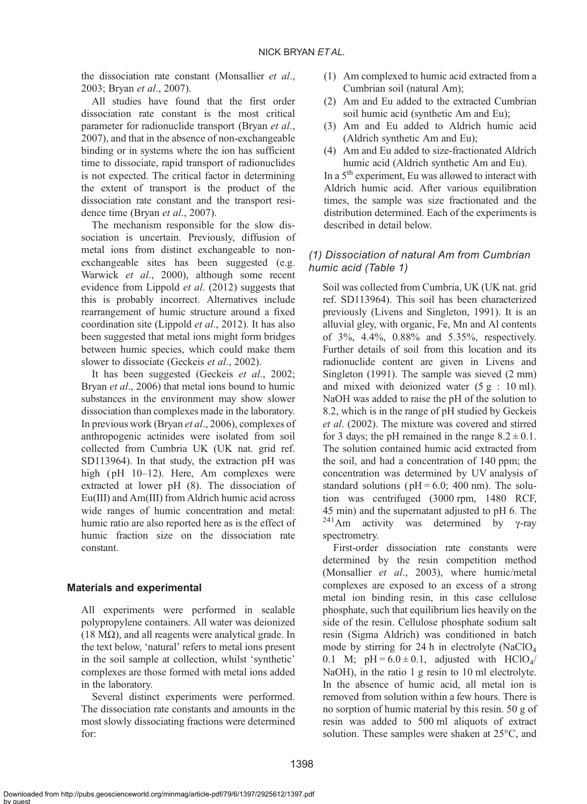the dissociation rate constant (Monsallier et al., 2003; Bryan et al[., 2007\)](#page-8-0).

All studies have found that the first order dissociation rate constant is the most critical parameter for radionuclide transport [\(Bryan](#page-8-0) et al., [2007\)](#page-8-0), and that in the absence of non-exchangeable binding or in systems where the ion has sufficient time to dissociate, rapid transport of radionuclides is not expected. The critical factor in determining the extent of transport is the product of the dissociation rate constant and the transport resi-dence time (Bryan et al[., 2007](#page-8-0)).

The mechanism responsible for the slow dissociation is uncertain. Previously, diffusion of metal ions from distinct exchangeable to nonexchangeable sites has been suggested (e.g. [Warwick](#page-8-0) et al., 2000), although some recent evidence from Lippold *et al.* (2012) suggests that this is probably incorrect. Alternatives include rearrangement of humic structure around a fixed coordination site ([Lippold](#page-8-0) et al., 2012). It has also been suggested that metal ions might form bridges between humic species, which could make them slower to dissociate [\(Geckeis](#page-8-0) et al., 2002).

It has been suggested ([Geckeis](#page-8-0) et al., 2002; Bryan et al[., 2006](#page-8-0)) that metal ions bound to humic substances in the environment may show slower dissociation than complexes made in the laboratory. In previous work (Bryan et al[., 2006\)](#page-8-0), complexes of anthropogenic actinides were isolated from soil collected from Cumbria UK (UK nat. grid ref. SD113964). In that study, the extraction pH was high (pH 10–12). Here, Am complexes were extracted at lower pH (8). The dissociation of Eu(III) and Am(III) from Aldrich humic acid across wide ranges of humic concentration and metal: humic ratio are also reported here as is the effect of humic fraction size on the dissociation rate constant.

## Materials and experimental

All experiments were performed in sealable polypropylene containers. All water was deionized (18 M $\Omega$ ), and all reagents were analytical grade. In the text below, 'natural' refers to metal ions present in the soil sample at collection, whilst 'synthetic' complexes are those formed with metal ions added in the laboratory.

Several distinct experiments were performed. The dissociation rate constants and amounts in the most slowly dissociating fractions were determined for:

- (1) Am complexed to humic acid extracted from a Cumbrian soil (natural Am);
- (2) Am and Eu added to the extracted Cumbrian soil humic acid (synthetic Am and Eu);
- (3) Am and Eu added to Aldrich humic acid (Aldrich synthetic Am and Eu);
- (4) Am and Eu added to size-fractionated Aldrich humic acid (Aldrich synthetic Am and Eu).

In a 5<sup>th</sup> experiment, Eu was allowed to interact with Aldrich humic acid. After various equilibration times, the sample was size fractionated and the distribution determined. Each of the experiments is described in detail below.

## (1) Dissociation of natural Am from Cumbrian humic acid [\(Table 1\)](#page-2-0)

Soil was collected from Cumbria, UK (UK nat. grid ref. SD113964). This soil has been characterized previously ([Livens and Singleton, 1991](#page-8-0)). It is an alluvial gley, with organic, Fe, Mn and Al contents of 3%, 4.4%, 0.88% and 5.35%, respectively. Further details of soil from this location and its radionuclide content are given in [Livens and](#page-8-0) [Singleton \(1991\).](#page-8-0) The sample was sieved (2 mm) and mixed with deionized water  $(5 g : 10 ml)$ . NaOH was added to raise the pH of the solution to 8.2, which is in the range of pH studied by [Geckeis](#page-8-0) et al[. \(2002\).](#page-8-0) The mixture was covered and stirred for 3 days; the pH remained in the range  $8.2 \pm 0.1$ . The solution contained humic acid extracted from the soil, and had a concentration of 140 ppm; the concentration was determined by UV analysis of standard solutions ( $pH = 6.0$ ; 400 nm). The solution was centrifuged (3000 rpm, 1480 RCF, 45 min) and the supernatant adjusted to pH 6. The <sup>241</sup>Am activity was determined by γ-ray spectrometry.

First-order dissociation rate constants were determined by the resin competition method (Monsallier et al., 2003), where humic/metal complexes are exposed to an excess of a strong metal ion binding resin, in this case cellulose phosphate, such that equilibrium lies heavily on the side of the resin. Cellulose phosphate sodium salt resin (Sigma Aldrich) was conditioned in batch mode by stirring for 24 h in electrolyte (NaClO4 0.1 M;  $pH = 6.0 \pm 0.1$ , adjusted with HClO<sub>4</sub>/ NaOH), in the ratio 1 g resin to 10 ml electrolyte. In the absence of humic acid, all metal ion is removed from solution within a few hours. There is no sorption of humic material by this resin. 50 g of resin was added to 500 ml aliquots of extract solution. These samples were shaken at 25°C, and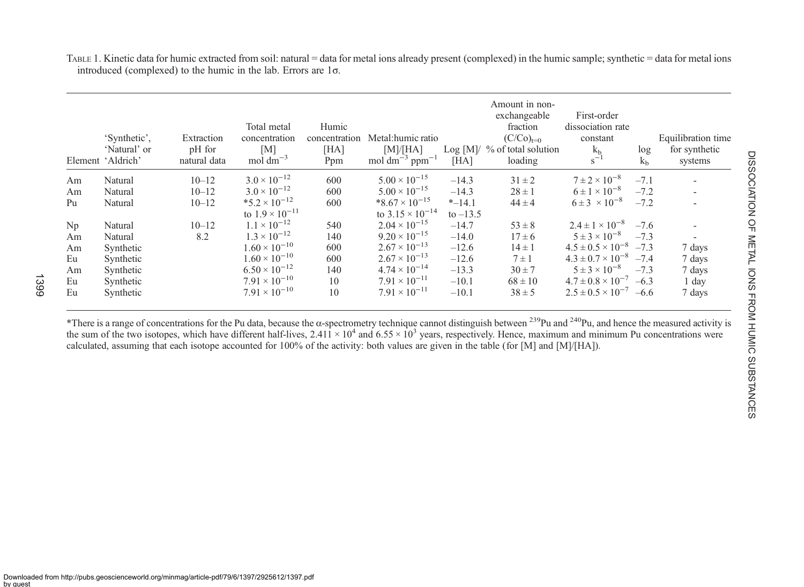<span id="page-2-0"></span>TABLE 1. Kinetic data for humic extracted from soil: natural <sup>=</sup> data for metal ions already presen<sup>t</sup> (complexed) in the humic sample; synthetic <sup>=</sup> data for metal ions introduced (complexed) to the humic in the lab. Errors are 1<sup>σ</sup>.

|    | 'Synthetic'.<br>'Natural' or<br>Element 'Aldrich' | Extraction<br>pH for<br>natural data | Total metal<br>concentration<br>[M]<br>mol $\rm{dm}^{-3}$ | Humic<br>concentration<br>[HA]<br>Ppm | Metal:humic ratio<br>[M]/[HA]<br>mol dm <sup>-3</sup> ppm <sup>-1</sup> | [HA]       | Amount in non-<br>exchangeable<br>fraction<br>$(C/Co)_{t=0}$<br>Log [M]/ % of total solution<br>loading | First-order<br>dissociation rate<br>constant<br>k <sub>b</sub><br>$s^{-1}$ | log<br>k <sub>b</sub> | Equilibration time<br>for synthetic<br>systems |
|----|---------------------------------------------------|--------------------------------------|-----------------------------------------------------------|---------------------------------------|-------------------------------------------------------------------------|------------|---------------------------------------------------------------------------------------------------------|----------------------------------------------------------------------------|-----------------------|------------------------------------------------|
| Am | Natural                                           | $10 - 12$                            | $3.0 \times 10^{-12}$                                     | 600                                   | $5.00 \times 10^{-15}$                                                  | $-14.3$    | $31 \pm 2$                                                                                              | $7 \pm 2 \times 10^{-8}$                                                   | $-7.1$                |                                                |
| Am | Natural                                           | $10 - 12$                            | $3.0 \times 10^{-12}$                                     | 600                                   | $5.00 \times 10^{-15}$                                                  | $-14.3$    | $28 \pm 1$                                                                                              | $6 \pm 1 \times 10^{-8}$                                                   | $-7.2$                |                                                |
| Pu | Natural                                           | $10 - 12$                            | $*5.2 \times 10^{-12}$                                    | 600                                   | $*8.67 \times 10^{-15}$                                                 | $*$ -14.1  | $44 \pm 4$                                                                                              | $6 \pm 3 \times 10^{-8}$                                                   | $-7.2$                |                                                |
|    |                                                   |                                      | to $1.9 \times 10^{-11}$                                  |                                       | to $3.15 \times 10^{-14}$                                               | to $-13.5$ |                                                                                                         |                                                                            |                       |                                                |
| Np | Natural                                           | $10 - 12$                            | $1.1 \times 10^{-12}$                                     | 540                                   | $2.04 \times 10^{-15}$                                                  | $-14.7$    | $53 \pm 8$                                                                                              | $2.4 \pm 1 \times 10^{-8}$                                                 | $-7.6$                |                                                |
| Am | Natural                                           | 8.2                                  | $1.3 \times 10^{-12}$                                     | 140                                   | $9.20 \times 10^{-15}$                                                  | $-14.0$    | $17 \pm 6$                                                                                              | $5 \pm 3 \times 10^{-8}$                                                   | $-7.3$                |                                                |
| Am | Synthetic                                         |                                      | $1.60 \times 10^{-10}$                                    | 600                                   | $2.67 \times 10^{-13}$                                                  | $-12.6$    | $14 \pm 1$                                                                                              | $4.5 \pm 0.5 \times 10^{-8}$                                               | $-7.3$                | 7 days                                         |
| Eu | Synthetic                                         |                                      | $1.60 \times 10^{-10}$                                    | 600                                   | $2.67 \times 10^{-13}$                                                  | $-12.6$    | $7 \pm 1$                                                                                               | $4.3 \pm 0.7 \times 10^{-8}$                                               | $-7.4$                | 7 days                                         |
| Am | Synthetic                                         |                                      | $6.50 \times 10^{-12}$                                    | 140                                   | $4.74 \times 10^{-14}$                                                  | $-13.3$    | $30 \pm 7$                                                                                              | $5 \pm 3 \times 10^{-8}$                                                   | $-7.3$                | 7 days                                         |
| Eu | Synthetic                                         |                                      | $7.91 \times 10^{-10}$                                    | 10                                    | $7.91 \times 10^{-11}$                                                  | $-10.1$    | $68 \pm 10$                                                                                             | $4.7 \pm 0.8 \times 10^{-7}$                                               | $-6.3$                | 1 day                                          |
| Eu | Synthetic                                         |                                      | $7.91 \times 10^{-10}$                                    | 10                                    | $7.91 \times 10^{-11}$                                                  | $-10.1$    | $38 \pm 5$                                                                                              | $2.5 \pm 0.5 \times 10^{-7}$                                               | $-6.6$                | 7 days                                         |

\*There is a range of concentrations for the Pu data, because the  $\alpha$ -spectrometry technique cannot distinguish between  $^{239}$ Pu and  $^{240}$ Pu, and hence the measured activity is the sum of the two isotopes, which have different half-lives,  $2.411 \times 10^4$  and  $6.55 \times 10^3$  years, respectively. Hence, maximum and minimum Pu concentrations were calculated, assuming that each isotope accounted for 100% of the activity: both values are given in the table (for [M] and [M]/[HA]).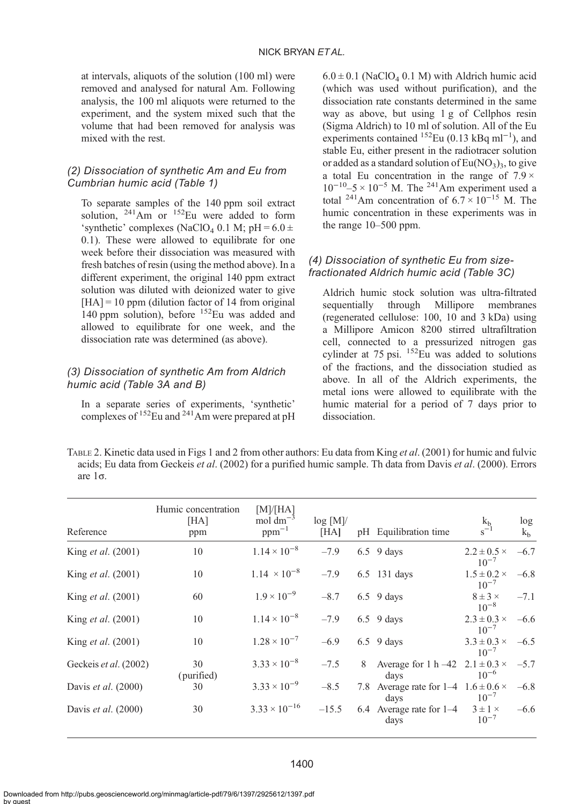<span id="page-3-0"></span>at intervals, aliquots of the solution (100 ml) were removed and analysed for natural Am. Following analysis, the 100 ml aliquots were returned to the experiment, and the system mixed such that the volume that had been removed for analysis was mixed with the rest.

# (2) Dissociation of synthetic Am and Eu from Cumbrian humic acid ([Table 1](#page-2-0))

To separate samples of the 140 ppm soil extract solution,  $^{241}$ Am or  $^{152}$ Eu were added to form 'synthetic' complexes (NaClO<sub>4</sub> 0.1 M; pH =  $6.0 \pm$ 0.1). These were allowed to equilibrate for one week before their dissociation was measured with fresh batches of resin (using the method above). In a different experiment, the original 140 ppm extract solution was diluted with deionized water to give  $[HA] = 10$  ppm (dilution factor of 14 from original 140 ppm solution), before <sup>152</sup>Eu was added and allowed to equilibrate for one week, and the dissociation rate was determined (as above).

# (3) Dissociation of synthetic Am from Aldrich humic acid [\(Table 3A](#page-4-0) and B)

In a separate series of experiments, 'synthetic' complexes of 152Eu and 241Am were prepared at pH

 $6.0 \pm 0.1$  (NaClO<sub>4</sub> 0.1 M) with Aldrich humic acid (which was used without purification), and the dissociation rate constants determined in the same way as above, but using 1 g of Cellphos resin (Sigma Aldrich) to 10 ml of solution. All of the Eu experiments contained <sup>152</sup>Eu (0.13 kBq ml<sup>-1</sup>), and stable Eu, either present in the radiotracer solution or added as a standard solution of  $Eu(NO<sub>3</sub>)<sub>3</sub>$ , to give a total Eu concentration in the range of  $7.9 \times$  $10^{-10}$ –5 ×  $10^{-5}$  M. The <sup>241</sup>Am experiment used a total <sup>241</sup>Am concentration of  $6.7 \times 10^{-15}$  M. The humic concentration in these experiments was in the range 10–500 ppm.

# (4) Dissociation of synthetic Eu from sizefractionated Aldrich humic acid ([Table 3](#page-4-0)C)

Aldrich humic stock solution was ultra-filtrated Millipore (regenerated cellulose: 100, 10 and 3 kDa) using a Millipore Amicon 8200 stirred ultrafiltration cell, connected to a pressurized nitrogen gas cylinder at  $75 \text{ psi}$ .  $\frac{152 \text{ Eu}}{152 \text{ Eu}}$  was added to solutions of the fractions, and the dissociation studied as above. In all of the Aldrich experiments, the metal ions were allowed to equilibrate with the humic material for a period of 7 days prior to dissociation.

TABLE 2. Kinetic data used in [Figs 1](#page-5-0) and [2](#page-5-0) from other authors: Eu data from King et al[. \(2001\)](#page-8-0) for humic and fulvic acids; Eu data from Geckeis et al[. \(2002\)](#page-8-0) for a purified humic sample. Th data from Davis et al[. \(2000\)](#page-8-0). Errors are 1σ.

| Reference                  | Humic concentration<br>[HA]<br>ppm | [M]/[HA]<br>mol $dm^{-3}$<br>$ppm^{-1}$ | log[M]/<br>[HA] |   | pH Equilibration time                                     | k <sub>b</sub><br>$s^{-1}$        | log<br>k <sub>b</sub> |
|----------------------------|------------------------------------|-----------------------------------------|-----------------|---|-----------------------------------------------------------|-----------------------------------|-----------------------|
| King <i>et al.</i> (2001)  | 10                                 | $1.14 \times 10^{-8}$                   | $-7.9$          |   | $6.5$ 9 days                                              | $2.2 \pm 0.5 \times$<br>$10^{-7}$ | $-6.7$                |
| King <i>et al.</i> (2001)  | 10                                 | $1.14 \times 10^{-8}$                   | $-7.9$          |   | 6.5 131 days                                              | $1.5\pm0.2\times$<br>$10^{-7}$    | $-6.8$                |
| King <i>et al.</i> (2001)  | 60                                 | $1.9 \times 10^{-9}$                    | $-8.7$          |   | $6.5$ 9 days                                              | $8 \pm 3 \times$                  | $-7.1$                |
| King <i>et al.</i> (2001)  | 10                                 | $1.14 \times 10^{-8}$                   | $-7.9$          |   | $6.5$ 9 days                                              | $10^{-8}$<br>$2.3 \pm 0.3 \times$ | $-6.6$                |
| King <i>et al.</i> (2001)  | 10                                 | $1.28 \times 10^{-7}$                   | $-6.9$          |   | $6.5$ 9 days                                              | $10^{-7}$<br>$3.3 \pm 0.3 \times$ | $-6.5$                |
| Geckeis et al. (2002)      | 30<br>(purified)                   | $3.33 \times 10^{-8}$                   | $-7.5$          | 8 | Average for $1 h -42$ $2.1 \pm 0.3 \times -5.7$<br>days   | $10^{-7}$<br>$10^{-6}$            |                       |
| Davis <i>et al.</i> (2000) | 30                                 | $3.33 \times 10^{-9}$                   | $-8.5$          |   | 7.8 Average rate for $1-4$ 1.6 $\pm$ 0.6 $\times$<br>days | $10^{-7}$                         | $-6.8$                |
| Davis <i>et al.</i> (2000) | 30                                 | $3.33 \times 10^{-16}$                  | $-15.5$         |   | 6.4 Average rate for $1-4$<br>days                        | $3 \pm 1 \times$<br>$10^{-7}$     | $-6.6$                |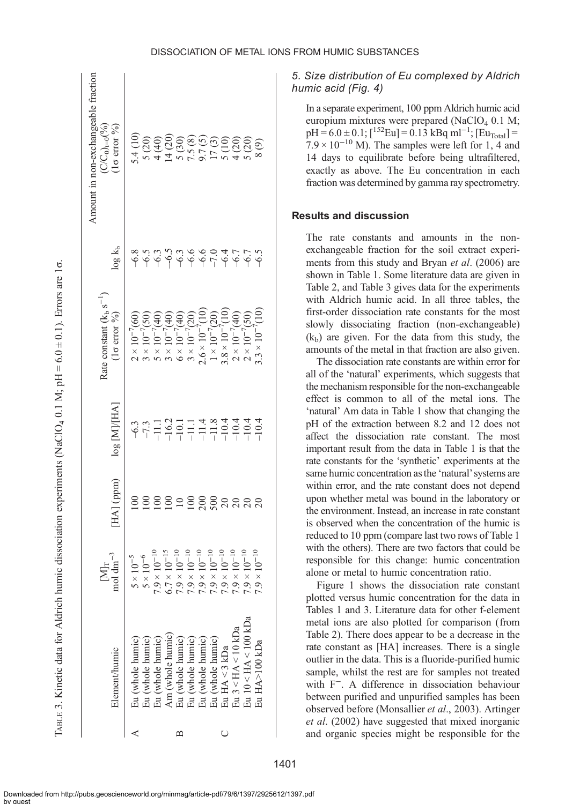<span id="page-4-0"></span>

| Amount in non-exchangeable fraction<br>$\mathbb{C}/\mathbb{C}_0$ <sub>t=0</sub> (%)<br>$1\sigma$ error $\%$ ) |                                                    |                                                                              |                                                                            |                                                                                                                                                                  |                                                                      |                                                                              |
|---------------------------------------------------------------------------------------------------------------|----------------------------------------------------|------------------------------------------------------------------------------|----------------------------------------------------------------------------|------------------------------------------------------------------------------------------------------------------------------------------------------------------|----------------------------------------------------------------------|------------------------------------------------------------------------------|
| $log k_b$                                                                                                     |                                                    |                                                                              |                                                                            |                                                                                                                                                                  |                                                                      | <u></u><br>۵٫۹ ۴ ۴ ۴ ۴ ۴ ۴ ۴ ۴ ۴ ۴ ۴ ۴ ۴ ۴ ۴                                 |
| Rate constant $(k_h s^{-1})$<br>$(1\sigma$ error %)                                                           | $2 \times 10^{-7} (60)$<br>$3 \times 10^{-7} (50)$ | $5 \times 10^{-7} (40)$                                                      | $3 \times 10^{-7}(40)$<br>$6 \times 10^{-7}(40)$<br>$3 \times 10^{-7}(20)$ | $2.6 \times 10^{-7} (10)$                                                                                                                                        | $1 \times 10^{-7}$ (20)<br>3.8 × 10 <sup>-7</sup> (10)               | $.3 \times 10^{-7} (10)$<br>$2 \times 10^{-7}(40)$<br>$2 \times 10^{-7}(50)$ |
| log [M]/[HA]                                                                                                  |                                                    |                                                                              |                                                                            |                                                                                                                                                                  |                                                                      |                                                                              |
| HA] (ppm)                                                                                                     |                                                    |                                                                              | $\supseteq$                                                                | $\frac{000}{000}$                                                                                                                                                | 888                                                                  | $\overline{20}$                                                              |
| $[M]_T$ mol dm <sup>-3</sup>                                                                                  | $5 \times 10^{-6}$<br>$5 \times 10^{-5}$           | $7.9 \times 10^{-10}$<br>$6.7\times10^{-15}$                                 | $7.9\times10^{-10}$<br>$7.9 \times 10^{-10}$                               | $7.9\times10^{-10}$<br>$7.9 \times 10^{-10}$                                                                                                                     | $7.9\times10^{-10}$<br>$7.9\times10^{-10}$                           | $7.9 \times 10^{-10}$<br>$7.9 \times 10^{-10}$                               |
| Element/humic                                                                                                 |                                                    | Eu (whole humic)<br>Eu (whole humic)<br>Eu (whole humic)<br>Am (whole humic) |                                                                            | $\begin{array}{l} \mbox{Eu (whole humic)}\\ \mbox{Eu (whole humic)}\\ \mbox{Eu (whole humic)}\\ \mbox{Eu (whole humic)}\\ \mbox{Eu (whole humic)}\\ \end{array}$ | Eu 3 <ha<10kda<br><math>\exists u</math> HA &lt; 3 kDa</ha<10kda<br> | Eu 10 <ha<100 kda<br="">iu HA&gt;100 kDa</ha<100>                            |
|                                                                                                               |                                                    |                                                                              |                                                                            |                                                                                                                                                                  |                                                                      |                                                                              |

5. Size distribution of Eu complexed by Aldrich humic acid ([Fig. 4\)](#page-6-0)

In a separate experiment, 100 ppm Aldrich humic acid europium mixtures were prepared (NaClO<sub>4</sub> 0.1 M;  $pH = 6.0 \pm 0.1$ ; [<sup>152</sup>Eu] = 0.13 kBq ml<sup>-1</sup>; [Eu<sub>Total</sub>] =  $7.9 \times 10^{-10}$  M). The samples were left for 1, 4 and 14 days to equilibrate before being ultrafiltered, exactly as above. The Eu concentration in each fraction was determined by gamma ray spectrometry.

#### Results and discussion

The rate constants and amounts in the nonexchangeable fraction for the soil extract experiments from this study and Bryan *et al.* (2006) are shown in [Table 1.](#page-2-0) Some literature data are given in [Table 2,](#page-3-0) and Table 3 gives data for the experiments with Aldrich humic acid. In all three tables, the first-order dissociation rate constants for the most slowly dissociating fraction (non-exchangeable)  $(k<sub>b</sub>)$  are given. For the data from this study, the amounts of the metal in that fraction are also given.

The dissociation rate constants are within error for all of the 'natural' experiments, which suggests that the mechanism responsible for the non-exchangeable effect is common to all of the metal ions. The 'natural' Am data in [Table 1](#page-2-0) show that changing the pH of the extraction between 8.2 and 12 does not affect the dissociation rate constant. The most important result from the data in [Table 1](#page-2-0) is that the rate constants for the 'synthetic' experiments at the same humic concentration as the 'natural' systems are within error, and the rate constant does not depend upon whether metal was bound in the laboratory or the environment. Instead, an increase in rate constant is observed when the concentration of the humic is reduced to 10 ppm (compare last two rows of [Table 1](#page-2-0) with the others). There are two factors that could be responsible for this change: humic concentration alone or metal to humic concentration ratio.

[Figure 1](#page-5-0) shows the dissociation rate constant plotted versus humic concentration for the data in [Tables 1](#page-2-0) and 3. Literature data for other f-element metal ions are also plotted for comparison (from [Table 2\)](#page-3-0). There does appear to be a decrease in the rate constant as [HA] increases. There is a single outlier in the data. This is a fluoride-purified humic sample, whilst the rest are for samples not treated with F−. A difference in dissociation behaviour between purified and unpurified samples has been observed before (Monsallier et al., 2003). [Artinger](#page-8-0) et al[. \(2002\)](#page-8-0) have suggested that mixed inorganic and organic species might be responsible for the

1401

Downloaded from http://pubs.geoscienceworld.org/minmag/article-pdf/79/6/1397/2925612/1397.pdf by guest

σ.

 $\vdash$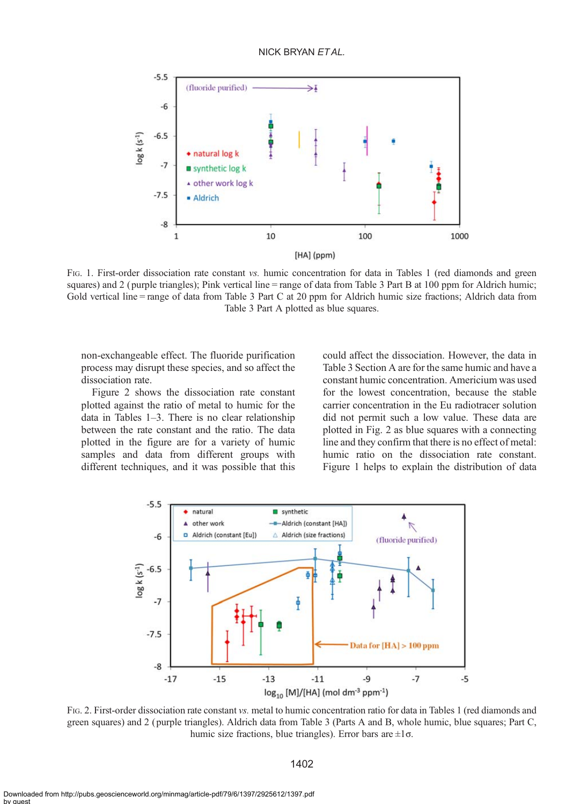## NICK BRYAN FTAL.

<span id="page-5-0"></span>

FIG. 1. First-order dissociation rate constant vs. humic concentration for data in [Tables 1](#page-2-0) (red diamonds and green squares) and 2 (purple triangles); Pink vertical line = range of data from [Table 3](#page-4-0) Part B at 100 ppm for Aldrich humic; Gold vertical line = range of data from [Table 3](#page-4-0) Part C at 20 ppm for Aldrich humic size fractions; Aldrich data from [Table 3](#page-4-0) Part A plotted as blue squares.

non-exchangeable effect. The fluoride purification process may disrupt these species, and so affect the dissociation rate.

Figure 2 shows the dissociation rate constant plotted against the ratio of metal to humic for the data in Tables  $1-3$ . There is no clear relationship between the rate constant and the ratio. The data plotted in the figure are for a variety of humic samples and data from different groups with different techniques, and it was possible that this

could affect the dissociation. However, the data in [Table 3](#page-4-0) Section A are for the same humic and have a constant humic concentration. Americium was used for the lowest concentration, because the stable carrier concentration in the Eu radiotracer solution did not permit such a low value. These data are plotted in Fig. 2 as blue squares with a connecting line and they confirm that there is no effect of metal: humic ratio on the dissociation rate constant. Figure 1 helps to explain the distribution of data



FIG. 2. First-order dissociation rate constant vs. metal to humic concentration ratio for data in [Tables 1](#page-2-0) (red diamonds and green squares) and 2 ( purple triangles). Aldrich data from [Table 3](#page-4-0) (Parts A and B, whole humic, blue squares; Part C, humic size fractions, blue triangles). Error bars are  $\pm 1\sigma$ .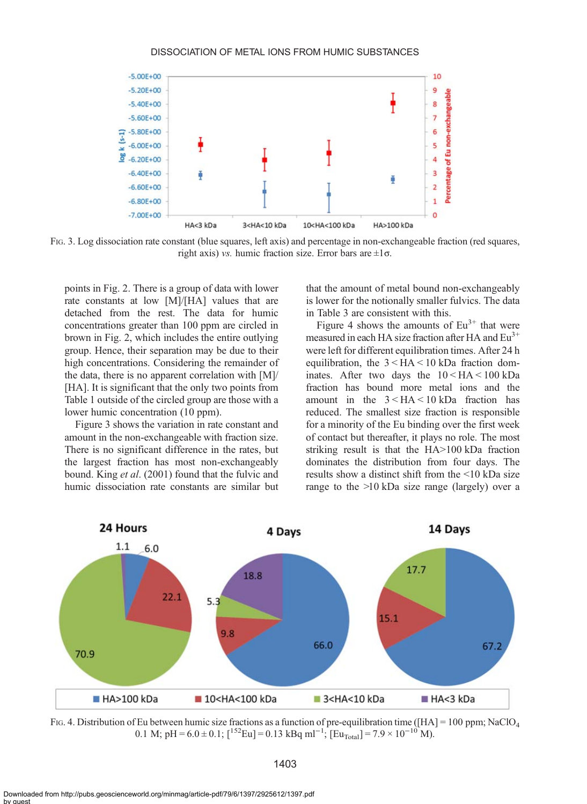#### DISSOCIATION OF METAL IONS FROM HUMIC SUBSTANCES

<span id="page-6-0"></span>

FIG. 3. Log dissociation rate constant (blue squares, left axis) and percentage in non-exchangeable fraction (red squares, right axis) vs. humic fraction size. Error bars are  $\pm 1\sigma$ .

points in [Fig. 2](#page-5-0). There is a group of data with lower rate constants at low [M]/[HA] values that are detached from the rest. The data for humic concentrations greater than 100 ppm are circled in brown in [Fig. 2,](#page-5-0) which includes the entire outlying group. Hence, their separation may be due to their high concentrations. Considering the remainder of the data, there is no apparent correlation with [M]/ [HA]. It is significant that the only two points from [Table 1](#page-2-0) outside of the circled group are those with a lower humic concentration (10 ppm).

Figure 3 shows the variation in rate constant and amount in the non-exchangeable with fraction size. There is no significant difference in the rates, but the largest fraction has most non-exchangeably bound. King et al[. \(2001\)](#page-8-0) found that the fulvic and humic dissociation rate constants are similar but

that the amount of metal bound non-exchangeably is lower for the notionally smaller fulvics. The data in [Table 3](#page-4-0) are consistent with this.

Figure 4 shows the amounts of  $Eu^{3+}$  that were measured in each HA size fraction after HA and  $Eu^{3+}$ were left for different equilibration times. After 24 h equilibration, the 3 < HA < 10 kDa fraction dominates. After two days the  $10 < H A < 100$  kDa fraction has bound more metal ions and the amount in the 3 < HA < 10 kDa fraction has reduced. The smallest size fraction is responsible for a minority of the Eu binding over the first week of contact but thereafter, it plays no role. The most striking result is that the HA>100 kDa fraction dominates the distribution from four days. The results show a distinct shift from the <10 kDa size range to the >10 kDa size range (largely) over a



FIG. 4. Distribution of Eu between humic size fractions as a function of pre-equilibration time ([HA] = 100 ppm; NaClO<sub>4</sub> 0.1 M; pH =  $6.0 \pm 0.1$ ; [<sup>152</sup>Eu] = 0.13 kBq ml<sup>-1</sup>; [Eu<sub>Total</sub>] =  $7.9 \times 10^{-10}$  M).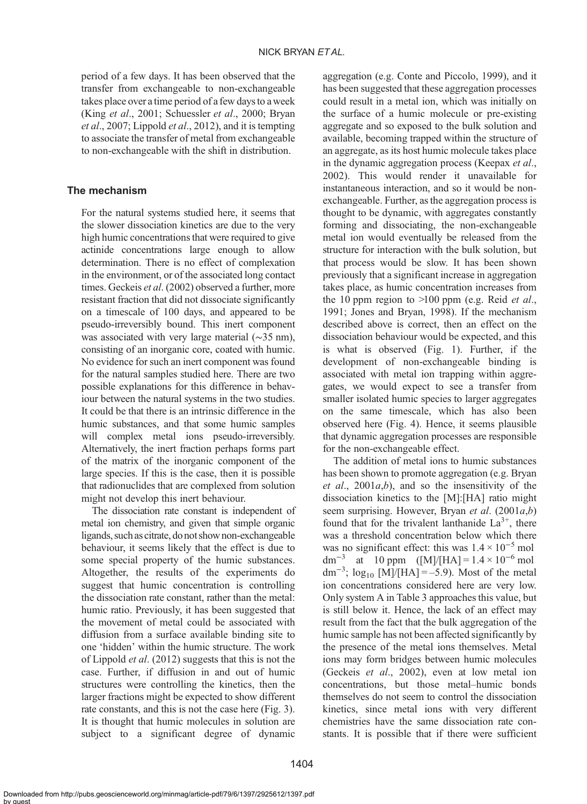period of a few days. It has been observed that the transfer from exchangeable to non-exchangeable takes place over a time period of a few days to a week (King et al[., 2001](#page-8-0); [Schuessler](#page-8-0) et al., 2000; [Bryan](#page-8-0) et al[., 2007](#page-8-0); [Lippold](#page-8-0) et al., 2012), and it is tempting to associate the transfer of metal from exchangeable to non-exchangeable with the shift in distribution.

## The mechanism

For the natural systems studied here, it seems that the slower dissociation kinetics are due to the very high humic concentrations that were required to give actinide concentrations large enough to allow determination. There is no effect of complexation in the environment, or of the associated long contact times. [Geckeis](#page-8-0) et al. (2002) observed a further, more resistant fraction that did not dissociate significantly on a timescale of 100 days, and appeared to be pseudo-irreversibly bound. This inert component was associated with very large material (∼35 nm), consisting of an inorganic core, coated with humic. No evidence for such an inert component was found for the natural samples studied here. There are two possible explanations for this difference in behaviour between the natural systems in the two studies. It could be that there is an intrinsic difference in the humic substances, and that some humic samples will complex metal ions pseudo-irreversibly. Alternatively, the inert fraction perhaps forms part of the matrix of the inorganic component of the large species. If this is the case, then it is possible that radionuclides that are complexed from solution might not develop this inert behaviour.

The dissociation rate constant is independent of metal ion chemistry, and given that simple organic ligands, such as citrate, do not show non-exchangeable behaviour, it seems likely that the effect is due to some special property of the humic substances. Altogether, the results of the experiments do suggest that humic concentration is controlling the dissociation rate constant, rather than the metal: humic ratio. Previously, it has been suggested that the movement of metal could be associated with diffusion from a surface available binding site to one 'hidden' within the humic structure. The work of [Lippold](#page-8-0) et al. (2012) suggests that this is not the case. Further, if diffusion in and out of humic structures were controlling the kinetics, then the larger fractions might be expected to show different rate constants, and this is not the case here [\(Fig. 3](#page-6-0)). It is thought that humic molecules in solution are subject to a significant degree of dynamic

aggregation (e.g. [Conte and Piccolo, 1999](#page-8-0)), and it has been suggested that these aggregation processes could result in a metal ion, which was initially on the surface of a humic molecule or pre-existing aggregate and so exposed to the bulk solution and available, becoming trapped within the structure of an aggregate, as its host humic molecule takes place in the dynamic aggregation process ([Keepax](#page-8-0) et al., [2002\)](#page-8-0). This would render it unavailable for instantaneous interaction, and so it would be nonexchangeable. Further, as the aggregation process is thought to be dynamic, with aggregates constantly forming and dissociating, the non-exchangeable metal ion would eventually be released from the structure for interaction with the bulk solution, but that process would be slow. It has been shown previously that a significant increase in aggregation takes place, as humic concentration increases from the 10 ppm region to  $>100$  ppm (e.g. [Reid](#page-8-0) *et al.*, [1991; Jones and Bryan, 1998](#page-8-0)). If the mechanism described above is correct, then an effect on the dissociation behaviour would be expected, and this is what is observed [\(Fig. 1\)](#page-5-0). Further, if the development of non-exchangeable binding is associated with metal ion trapping within aggregates, we would expect to see a transfer from smaller isolated humic species to larger aggregates on the same timescale, which has also been observed here [\(Fig. 4](#page-6-0)). Hence, it seems plausible that dynamic aggregation processes are responsible for the non-exchangeable effect.

The addition of metal ions to humic substances has been shown to promote aggregation (e.g. [Bryan](#page-8-0) et al.,  $2001a,b$  $2001a,b$ , and so the insensitivity of the dissociation kinetics to the [M]:[HA] ratio might seem surprising. However, Bryan et al[. \(2001](#page-8-0)a,[b](#page-8-0)) found that for the trivalent lanthanide  $La^{3+}$ , there was a threshold concentration below which there was no significant effect: this was  $1.4 \times 10^{-5}$  mol dm<sup>-3</sup> at 10 ppm ([M]/[HA] =  $1.4 \times 10^{-6}$  mol dm<sup>-3</sup>; log<sub>10</sub> [M]/[HA] = -5.9). Most of the metal ion concentrations considered here are very low. Only system A in [Table 3](#page-4-0) approaches this value, but is still below it. Hence, the lack of an effect may result from the fact that the bulk aggregation of the humic sample has not been affected significantly by the presence of the metal ions themselves. Metal ions may form bridges between humic molecules ([Geckeis](#page-8-0) et al., 2002), even at low metal ion concentrations, but those metal-humic bonds themselves do not seem to control the dissociation kinetics, since metal ions with very different chemistries have the same dissociation rate constants. It is possible that if there were sufficient